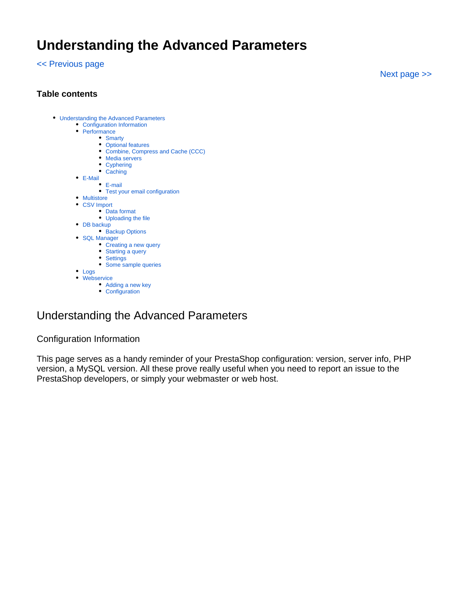# **Understanding the Advanced Parameters**

[<< Previous page](https://doc.prestashop.com/display/PS15/Understanding+the+Preferences)

[Next page >>](https://doc.prestashop.com/display/PS15/Administering+the+Back-Office)

### **Table contents**

- [Understanding the Advanced Parameters](#page-0-0)
	- [Configuration Information](#page-0-1)
	- [Performance](#page-1-0)
		- [Smarty](#page-1-1)
			- [Optional features](#page-2-0)
				- [Combine, Compress and Cache \(CCC\)](#page-3-0)
			- [Media servers](#page-4-0)
			- [Cyphering](#page-4-1)
			- [Caching](#page-5-0)
	- [E-Mail](#page-5-1) [E-mail](#page-5-2)
		- [Test your email configuration](#page-7-0)
	- **[Multistore](#page-8-0)**
	- [CSV Import](#page-8-1)
		- [Data format](#page-9-0)
		- [Uploading the file](#page-10-0)
	- [DB backup](#page-11-0) • [Backup Options](#page-12-0)
	- [SQL Manager](#page-13-0)
		- [Creating a new query](#page-13-1)
			- [Starting a query](#page-14-0)
		- [Settings](#page-15-0) [Some sample queries](#page-15-1)
	- [Logs](#page-16-0)
	- [Webservice](#page-17-0)
		- [Adding a new key](#page-17-1)
		- [Configuration](#page-18-0)

# <span id="page-0-0"></span>Understanding the Advanced Parameters

### <span id="page-0-1"></span>Configuration Information

This page serves as a handy reminder of your PrestaShop configuration: version, server info, PHP version, a MySQL version. All these prove really useful when you need to report an issue to the PrestaShop developers, or simply your webmaster or web host.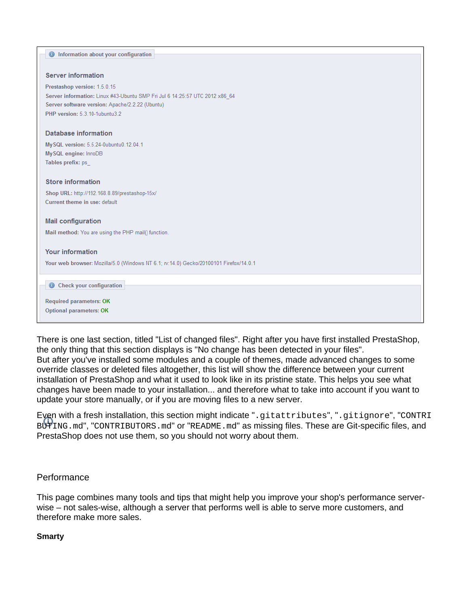| <b>O</b> Information about your configuration                                         |
|---------------------------------------------------------------------------------------|
|                                                                                       |
| <b>Server information</b>                                                             |
|                                                                                       |
| Prestashop version: 1.5.0.15                                                          |
| Server information: Linux #43-Ubuntu SMP Fri Jul 6 14:25:57 UTC 2012 x86 64           |
| Server software version: Apache/2.2.22 (Ubuntu)                                       |
| PHP version: 5.3.10-1ubuntu3.2                                                        |
|                                                                                       |
| Database information                                                                  |
| My SQL version: 5.5.24-0ubuntu0.12.04.1                                               |
| My SQL engine: InnoDB                                                                 |
| Tables prefix: ps                                                                     |
|                                                                                       |
| <b>Store information</b>                                                              |
|                                                                                       |
| Shop URL: http://192.168.8.89/prestashop-15x/<br>Current theme in use: default        |
|                                                                                       |
|                                                                                       |
| <b>Mail configuration</b>                                                             |
| Mail method: You are using the PHP mail() function.                                   |
|                                                                                       |
| <b>Your information</b>                                                               |
| Your web browser: Mozilla/5.0 (Windows NT 6.1; rv:14.0) Gecko/20100101 Firefox/14.0.1 |
|                                                                                       |
|                                                                                       |
| <b>Check your configuration</b><br>$\bf \odot$                                        |
| <b>Required parameters: OK</b>                                                        |
| Optional parameters: OK                                                               |
|                                                                                       |
|                                                                                       |

There is one last section, titled "List of changed files". Right after you have first installed PrestaShop, the only thing that this section displays is "No change has been detected in your files". But after you've installed some modules and a couple of themes, made advanced changes to some override classes or deleted files altogether, this list will show the difference between your current installation of PrestaShop and what it used to look like in its pristine state. This helps you see what changes have been made to your installation... and therefore what to take into account if you want to update your store manually, or if you are moving files to a new server.

Even with a fresh installation, this section might indicate ".gitattributes", ".gitignore", "CONTRI BUTING.md", "CONTRIBUTORS.md" or "README.md" as missing files. These are Git-specific files, and PrestaShop does not use them, so you should not worry about them.

# <span id="page-1-0"></span>**Performance**

This page combines many tools and tips that might help you improve your shop's performance serverwise – not sales-wise, although a server that performs well is able to serve more customers, and therefore make more sales.

### <span id="page-1-1"></span>**Smarty**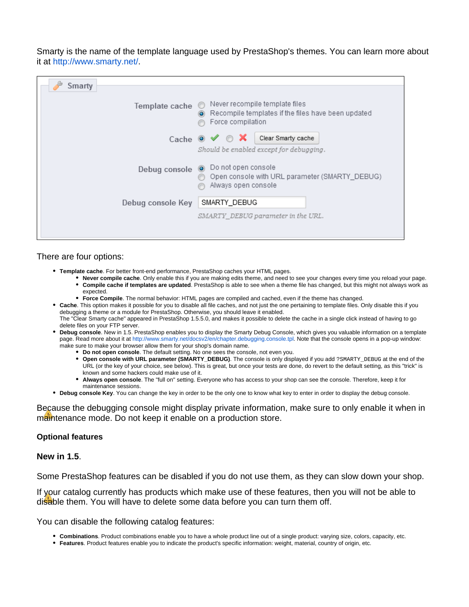Smarty is the name of the template language used by PrestaShop's themes. You can learn more about it at [http://www.smarty.net/.](http://www.smarty.net/)

| Smarty            |                                                                                                                      |  |  |
|-------------------|----------------------------------------------------------------------------------------------------------------------|--|--|
| Template cache    | Never recompile template files<br>Recompile templates if the files have been updated<br>$\circ$<br>Force compilation |  |  |
|                   | Cache $\bullet \blacktriangleleft \circ \blacktriangleleft$<br>Clear Smarty cache                                    |  |  |
|                   | Should be enabled except for debugging.                                                                              |  |  |
| Debug console     | O Do not open console<br>Open console with URL parameter (SMARTY_DEBUG)<br>Always open console                       |  |  |
| Debug console Key | SMARTY_DEBUG                                                                                                         |  |  |
|                   | SMARTY DEBUG parameter in the URL.                                                                                   |  |  |
|                   |                                                                                                                      |  |  |

#### There are four options:

- **Template cache**. For better front-end performance, PrestaShop caches your HTML pages.
	- **Never compile cache**. Only enable this if you are making edits theme, and need to see your changes every time you reload your page. **Compile cache if templates are updated**. PrestaShop is able to see when a theme file has changed, but this might not always work as expected.
	- **Force Compile**. The normal behavior: HTML pages are compiled and cached, even if the theme has changed.
- **Cache**. This option makes it possible for you to disable all file caches, and not just the one pertaining to template files. Only disable this if you debugging a theme or a module for PrestaShop. Otherwise, you should leave it enabled. The "Clear Smarty cache" appeared in PrestaShop 1.5.5.0, and makes it possible to delete the cache in a single click instead of having to go delete files on your FTP server.
- **Debug console**. New in 1.5. PrestaShop enables you to display the Smarty Debug Console, which gives you valuable information on a template page. Read more about it at [http://www.smarty.net/docsv2/en/chapter.debugging.console.tpl.](http://www.smarty.net/docsv2/en/chapter.debugging.console.tpl) Note that the console opens in a pop-up window: make sure to make your browser allow them for your shop's domain name.
	- **Do not open console**. The default setting. No one sees the console, not even you.
	- **Open console with URL parameter (SMARTY\_DEBUG)**. The console is only displayed if you add ?SMARTY\_DEBUG at the end of the URL (or the key of your choice, see below). This is great, but once your tests are done, do revert to the default setting, as this "trick" is known and some hackers could make use of it.
	- **Always open console**. The "full on" setting. Everyone who has access to your shop can see the console. Therefore, keep it for maintenance sessions.
- **Debug console Key**. You can change the key in order to be the only one to know what key to enter in order to display the debug console.

Because the debugging console might display private information, make sure to only enable it when in maintenance mode. Do not keep it enable on a production store.

#### <span id="page-2-0"></span>**Optional features**

### **New in 1.5**.

Some PrestaShop features can be disabled if you do not use them, as they can slow down your shop.

If your catalog currently has products which make use of these features, then you will not be able to disable them. You will have to delete some data before you can turn them off.

You can disable the following catalog features:

- **Combinations**. Product combinations enable you to have a whole product line out of a single product: varying size, colors, capacity, etc.
- **Features**. Product features enable you to indicate the product's specific information: weight, material, country of origin, etc.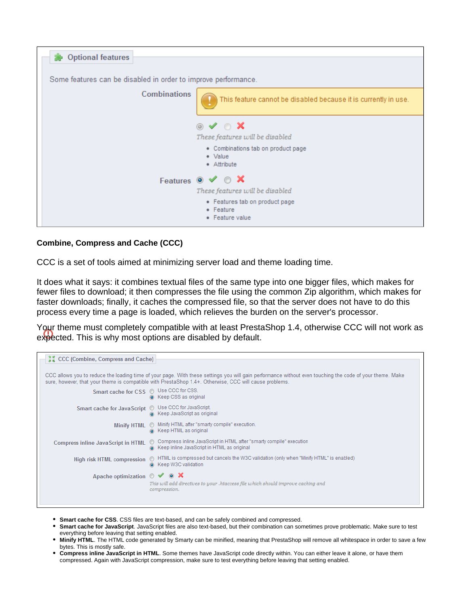| <b>Dependence</b> Optional features                            |                                                                 |
|----------------------------------------------------------------|-----------------------------------------------------------------|
|                                                                |                                                                 |
| Some features can be disabled in order to improve performance. |                                                                 |
| <b>Combinations</b>                                            | This feature cannot be disabled because it is currently in use. |
|                                                                | $\circ \vee \circ \times$                                       |
|                                                                | These features will be disabled                                 |
|                                                                | • Combinations tab on product page                              |
|                                                                | • Value                                                         |
|                                                                | • Attribute                                                     |
|                                                                | Features $\circ \checkmark$ $\circ$ <b>X</b>                    |
|                                                                | These features will be disabled                                 |
|                                                                | • Features tab on product page                                  |
|                                                                | • Feature                                                       |
|                                                                | • Feature value                                                 |

## <span id="page-3-0"></span>**Combine, Compress and Cache (CCC)**

CCC is a set of tools aimed at minimizing server load and theme loading time.

It does what it says: it combines textual files of the same type into one bigger files, which makes for fewer files to download; it then compresses the file using the common Zip algorithm, which makes for faster downloads; finally, it caches the compressed file, so that the server does not have to do this process every time a page is loaded, which relieves the burden on the server's processor.

Your theme must completely compatible with at least PrestaShop 1.4, otherwise CCC will not work as expected. This is why most options are disabled by default.

| <b>AK</b> CCC (Combine, Compress and Cache)                                                                                                                                                                                                                        |                                                                                                                                       |  |  |  |  |
|--------------------------------------------------------------------------------------------------------------------------------------------------------------------------------------------------------------------------------------------------------------------|---------------------------------------------------------------------------------------------------------------------------------------|--|--|--|--|
| CCC allows you to reduce the loading time of your page. With these settings you will gain performance without even touching the code of your theme. Make<br>sure, however, that your theme is compatible with PrestaShop 1.4+. Otherwise, CCC will cause problems. |                                                                                                                                       |  |  |  |  |
| Smart cache for CSS @ Use CCC for CSS.                                                                                                                                                                                                                             | C Keep CSS as original                                                                                                                |  |  |  |  |
| Smart cache for Java Script © Use CCC for JavaScript.                                                                                                                                                                                                              | Reep JavaScript as original                                                                                                           |  |  |  |  |
| <b>Minify HTML</b>                                                                                                                                                                                                                                                 | Minify HTML after "smarty compile" execution.<br>G Keep HTML as original                                                              |  |  |  |  |
| <b>Compress inline Java Script in HTML</b>                                                                                                                                                                                                                         | Compress inline JavaScript in HTML after "smarty compile" execution<br>$\circledcirc$<br>G Keep inline JavaScript in HTML as original |  |  |  |  |
| High risk HTML compression                                                                                                                                                                                                                                         | MITML is compressed but cancels the W3C validation (only when "Minify HTML" is enabled)<br>C Keep W3C validation                      |  |  |  |  |
| Apache optimization $\circ \checkmark \circ \mathsf{x}$                                                                                                                                                                                                            | This will add directives to your .htaccess file which should improve caching and<br>compression.                                      |  |  |  |  |
|                                                                                                                                                                                                                                                                    |                                                                                                                                       |  |  |  |  |

- **Smart cache for CSS**. CSS files are text-based, and can be safely combined and compressed.
- **Smart cache for JavaScript**. JavaScript files are also text-based, but their combination can sometimes prove problematic. Make sure to test everything before leaving that setting enabled.
- **Minify HTML**. The HTML code generated by Smarty can be minified, meaning that PrestaShop will remove all whitespace in order to save a few bytes. This is mostly safe.
- **Compress inline JavaScript in HTML**. Some themes have JavaScript code directly within. You can either leave it alone, or have them compressed. Again with JavaScript compression, make sure to test everything before leaving that setting enabled.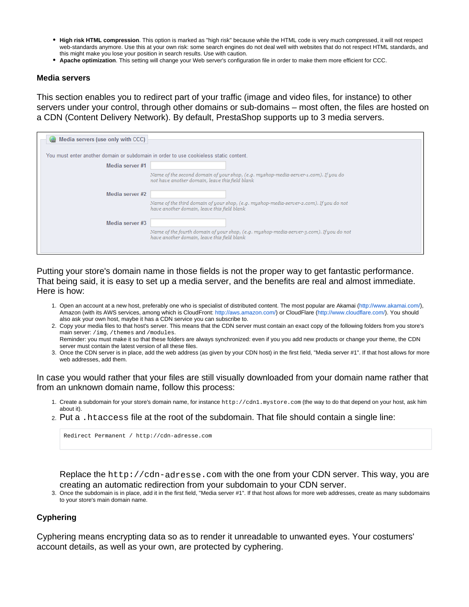- **High risk HTML compression**. This option is marked as "high risk" because while the HTML code is very much compressed, it will not respect web-standards anymore. Use this at your own risk: some search engines do not deal well with websites that do not respect HTML standards, and this might make you lose your position in search results. Use with caution.
- **Apache optimization**. This setting will change your Web server's configuration file in order to make them more efficient for CCC.

#### <span id="page-4-0"></span>**Media servers**

This section enables you to redirect part of your traffic (image and video files, for instance) to other servers under your control, through other domains or sub-domains – most often, the files are hosted on a CDN (Content Delivery Network). By default, PrestaShop supports up to 3 media servers.

| Media servers (use only with CCC)                                                     |                                                                                                                                        |
|---------------------------------------------------------------------------------------|----------------------------------------------------------------------------------------------------------------------------------------|
| You must enter another domain or subdomain in order to use cookieless static content. |                                                                                                                                        |
| Media server #1                                                                       |                                                                                                                                        |
|                                                                                       | Name of the second domain of your shop, (e.g. myshop-media-server-1.com). If you do<br>not have another domain, leave this field blank |
| Media server #2                                                                       |                                                                                                                                        |
|                                                                                       | Name of the third domain of your shop, (e.g. myshop-media-server-2.com). If you do not<br>have another domain, leave this field blank  |
| Media server #3                                                                       |                                                                                                                                        |
|                                                                                       | Name of the fourth domain of your shop, (e.g. myshop-media-server-3.com). If you do not<br>have another domain, leave this field blank |

Putting your store's domain name in those fields is not the proper way to get fantastic performance. That being said, it is easy to set up a media server, and the benefits are real and almost immediate. Here is how:

- 1. Open an account at a new host, preferably one who is specialist of distributed content. The most popular are Akamai [\(http://www.akamai.com/\)](http://www.akamai.com/), Amazon (with its AWS services, among which is CloudFront: <http://aws.amazon.com/>) or CloudFlare ([http://www.cloudflare.com/\)](http://www.cloudflare.com/). You should also ask your own host, maybe it has a CDN service you can subscribe to.
- 2. Copy your media files to that host's server. This means that the CDN server must contain an exact copy of the following folders from you store's main server: /img, /themes and /modules. Reminder: you must make it so that these folders are always synchronized: even if you you add new products or change your theme, the CDN
- 3. Once the CDN server is in place, add the web address (as given by your CDN host) in the first field, "Media server #1". If that host allows for more server must contain the latest version of all these files. web addresses, add them.

In case you would rather that your files are still visually downloaded from your domain name rather that from an unknown domain name, follow this process:

- 1. Create a subdomain for your store's domain name, for instance http://cdn1.mystore.com (the way to do that depend on your host, ask him about it).
- 2. Put a .htaccess file at the root of the subdomain. That file should contain a single line:

Redirect Permanent / http://cdn-adresse.com

Replace the http://cdn-adresse.com with the one from your CDN server. This way, you are creating an automatic redirection from your subdomain to your CDN server.

3. Once the subdomain is in place, add it in the first field, "Media server #1". If that host allows for more web addresses, create as many subdomains to your store's main domain name.

### <span id="page-4-1"></span>**Cyphering**

Cyphering means encrypting data so as to render it unreadable to unwanted eyes. Your costumers' account details, as well as your own, are protected by cyphering.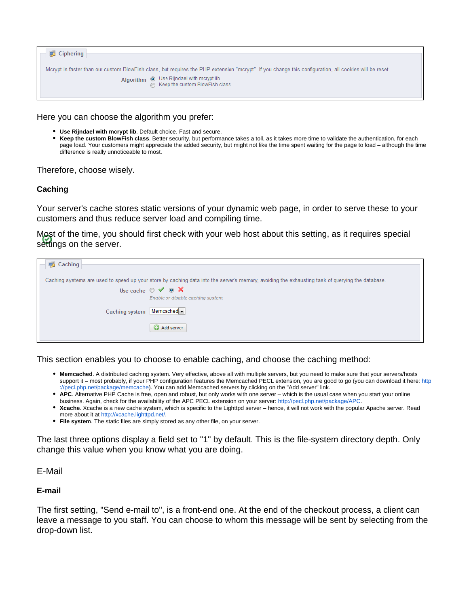| <b>■ Ciphering</b>                                                                                                                                                                                                                           |  |
|----------------------------------------------------------------------------------------------------------------------------------------------------------------------------------------------------------------------------------------------|--|
| Mcrypt is faster than our custom BlowFish class, but requires the PHP extension "mcrypt". If you change this configuration, all cookies will be reset.<br>Algorithm $\odot$ Use Rijndael with mcrypt lib.<br>Seep the custom BlowFish class. |  |

Here you can choose the algorithm you prefer:

- **Use Rijndael with mcrypt lib**. Default choice. Fast and secure.
- $\bullet$ **Keep the custom BlowFish class**. Better security, but performance takes a toll, as it takes more time to validate the authentication, for each page load. Your customers might appreciate the added security, but might not like the time spent waiting for the page to load – although the time difference is really unnoticeable to most.

Therefore, choose wisely.

### <span id="page-5-0"></span>**Caching**

Your server's cache stores static versions of your dynamic web page, in order to serve these to your customers and thus reduce server load and compiling time.

Most of the time, you should first check with your web host about this setting, as it requires special settings on the server.

| Caching        |                                                                                                                                                  |
|----------------|--------------------------------------------------------------------------------------------------------------------------------------------------|
|                | Caching systems are used to speed up your store by caching data into the server's memory, avoiding the exhausting task of querying the database. |
|                | Use cache $\circ \checkmark$ $\circ$ $\mathsf{X}$<br>Enable or disable caching system                                                            |
| Caching system | Memcached -                                                                                                                                      |
|                | Add server                                                                                                                                       |

This section enables you to choose to enable caching, and choose the caching method:

- **Memcached**. A distributed caching system. Very effective, above all with multiple servers, but you need to make sure that your servers/hosts support it – most probably, if your PHP configuration features the Memcached PECL extension, you are good to go (you can download it here: [http](http://pecl.php.net/package/memcache) [://pecl.php.net/package/memcache](http://pecl.php.net/package/memcache)). You can add Memcached servers by clicking on the "Add server" link.
- **APC**. Alternative PHP Cache is free, open and robust, but only works with one server which is the usual case when you start your online business. Again, check for the availability of the APC PECL extension on your server: [http://pecl.php.net/package/APC.](http://pecl.php.net/package/APC)
- **Xcache**. Xcache is a new cache system, which is specific to the Lighttpd server hence, it will not work with the popular Apache server. Read more about it at [http://xcache.lighttpd.net/.](http://xcache.lighttpd.net/)
- **File system**. The static files are simply stored as any other file, on your server.

The last three options display a field set to "1" by default. This is the file-system directory depth. Only change this value when you know what you are doing.

<span id="page-5-1"></span>E-Mail

### <span id="page-5-2"></span>**E-mail**

The first setting, "Send e-mail to", is a front-end one. At the end of the checkout process, a client can leave a message to you staff. You can choose to whom this message will be sent by selecting from the drop-down list.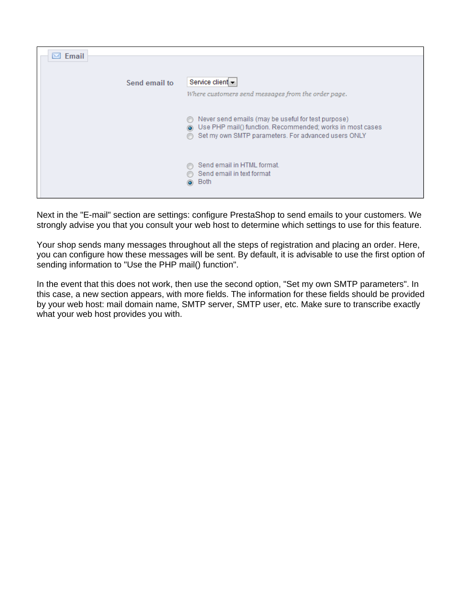| $\boxtimes$ Email |                                                                                                                                                                                             |
|-------------------|---------------------------------------------------------------------------------------------------------------------------------------------------------------------------------------------|
|                   |                                                                                                                                                                                             |
| Send email to     | Service client -<br>Where customers send messages from the order page.                                                                                                                      |
|                   |                                                                                                                                                                                             |
|                   | Never send emails (may be useful for test purpose)<br>⋒<br>Use PHP mail() function. Recommended; works in most cases<br>$\odot$<br>Set my own SMTP parameters. For advanced users ONLY<br>⋒ |
|                   | Send email in HTML format.<br>Send email in text format<br>Both<br>$\odot$                                                                                                                  |

Next in the "E-mail" section are settings: configure PrestaShop to send emails to your customers. We strongly advise you that you consult your web host to determine which settings to use for this feature.

Your shop sends many messages throughout all the steps of registration and placing an order. Here, you can configure how these messages will be sent. By default, it is advisable to use the first option of sending information to "Use the PHP mail() function".

In the event that this does not work, then use the second option, "Set my own SMTP parameters". In this case, a new section appears, with more fields. The information for these fields should be provided by your web host: mail domain name, SMTP server, SMTP user, etc. Make sure to transcribe exactly what your web host provides you with.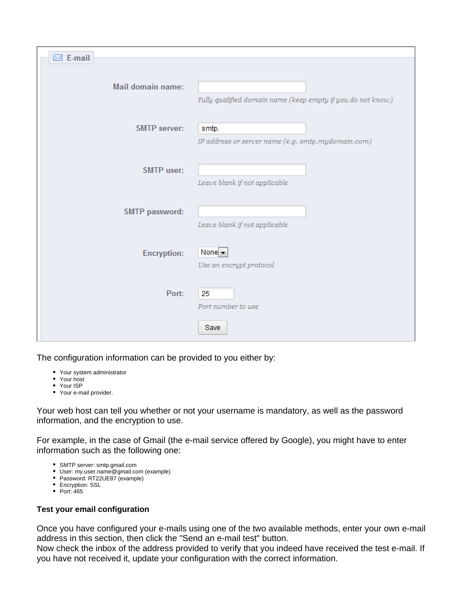| $\boxtimes$ E-mail  |                                                             |
|---------------------|-------------------------------------------------------------|
|                     |                                                             |
| Mail domain name:   |                                                             |
|                     | Fully qualified domain name (keep empty if you do not know) |
|                     |                                                             |
| <b>SMTP server:</b> | smtp.                                                       |
|                     | IP address or server name (e.g. smtp.mydomain.com)          |
|                     |                                                             |
| <b>SMTP</b> user:   |                                                             |
|                     | Leave blank if not applicable                               |
|                     |                                                             |
| SMTP password:      | Leave blank if not applicable                               |
|                     |                                                             |
| <b>Encryption:</b>  | None $\blacktriangleright$                                  |
|                     | Use an encrypt protocol                                     |
|                     |                                                             |
| Port:               | 25                                                          |
|                     | Port number to use                                          |
|                     | Save                                                        |
|                     |                                                             |

The configuration information can be provided to you either by:

- Your system administrator
- Your host
- Your ISP
- Your e-mail provider.

Your web host can tell you whether or not your username is mandatory, as well as the password information, and the encryption to use.

For example, in the case of Gmail (the e-mail service offered by Google), you might have to enter information such as the following one:

- SMTP server: smtp.gmail.com
- User: my.user.name@gmail.com (example)
- Password: RT22UE87 (example)
- Encryption: SSL
- $\bullet$  Port: 465

### <span id="page-7-0"></span>**Test your email configuration**

Once you have configured your e-mails using one of the two available methods, enter your own e-mail address in this section, then click the "Send an e-mail test" button.

Now check the inbox of the address provided to verify that you indeed have received the test e-mail. If you have not received it, update your configuration with the correct information.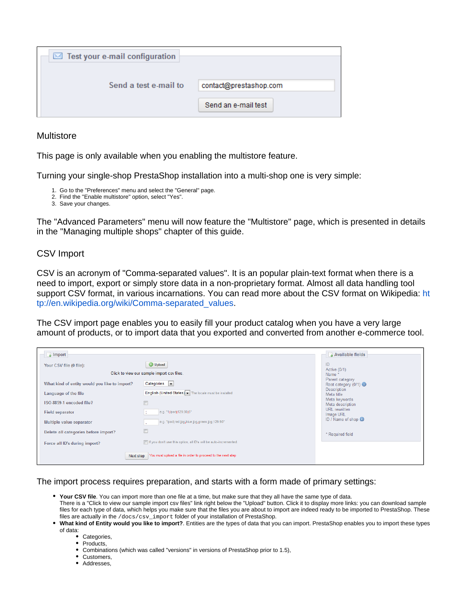| $\boxtimes$ Test your e-mail configuration |                        |
|--------------------------------------------|------------------------|
| Send a test e-mail to                      | contact@prestashop.com |
|                                            | Send an e-mail test    |

### <span id="page-8-0"></span>**Multistore**

This page is only available when you enabling the multistore feature.

Turning your single-shop PrestaShop installation into a multi-shop one is very simple:

- 1. Go to the "Preferences" menu and select the "General" page.
- 2. Find the "Enable multistore" option, select "Yes".
- 3. Save your changes.

The "Advanced Parameters" menu will now feature the "Multistore" page, which is presented in details in the "Managing multiple shops" chapter of this guide.

<span id="page-8-1"></span>CSV Import

CSV is an acronym of "Comma-separated values". It is an popular plain-text format when there is a need to import, export or simply store data in a non-proprietary format. Almost all data handling tool support CSV format, in various incarnations. You can read more about the CSV format on Wikipedia: [ht](http://en.wikipedia.org/wiki/Comma-separated_values) [tp://en.wikipedia.org/wiki/Comma-separated\\_values.](http://en.wikipedia.org/wiki/Comma-separated_values)

The CSV import page enables you to easily fill your product catalog when you have a very large amount of products, or to import data that you exported and converted from another e-commerce tool.

| $\frac{1}{2}$ Import                          |                                                                  | Available fields                         |
|-----------------------------------------------|------------------------------------------------------------------|------------------------------------------|
| Your CSV file (0 file):                       | <b>O</b> Upload                                                  | ID<br>Active $(0/1)$                     |
| Click to view our sample import csv files.    | Name *                                                           |                                          |
| What kind of entity would you like to import? | Categories $\left  \right. \cdot \right $                        | Parent category<br>Root category (0/1) @ |
| Language of the file                          | English (United States) - The locale must be installed           | Description<br>Meta title                |
| ISO-8859-1 encoded file?                      |                                                                  | Meta keywords<br>Meta description        |
| <b>Field separator</b>                        | e.g. "1;lpod;129.90;5"                                           | URL rewritten<br>Image URL               |
| Multiple value separator                      | e.g. "Ipod;red.jpg,blue.jpg,green.jpg;129.90"                    | ID / Name of shop <b>O</b>               |
| Delete all categories before import?          |                                                                  | * Required field                         |
| Force all ID's during import?                 | If you don't use this option, all ID's will be auto-incremented. |                                          |
| Next step                                     | You must upload a file in order to proceed to the next step      |                                          |

The import process requires preparation, and starts with a form made of primary settings:

- **Your CSV file**. You can import more than one file at a time, but make sure that they all have the same type of data. There is a "Click to view our sample import csv files" link right below the "Upload" button. Click it to display more links: you can download sample files for each type of data, which helps you make sure that the files you are about to import are indeed ready to be imported to PrestaShop. These files are actually in the /docs/csv\_import folder of your installation of PrestaShop.
- **What kind of Entity would you like to import?**. Entities are the types of data that you can import. PrestaShop enables you to import these types of data:
	- Categories,
	- Products,
	- Combinations (which was called "versions" in versions of PrestaShop prior to 1.5),
	- Customers,
	- Addresses,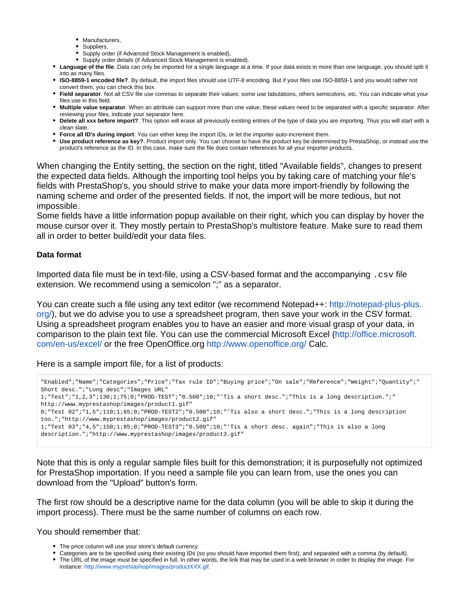- Manufacturers,
- Suppliers,
- Supply order (if Advanced Stock Management is enabled).
- Supply order details (if Advanced Stock Management is enabled).
- **Language of the file**. Data can only be imported for a single language at a time. If your data exists in more than one language, you should split it into as many files.
- **ISO-8859-1 encoded file?**. By default, the import files should use UTF-8 encoding. But if your files use ISO-8859-1 and you would rather not convert them, you can check this box.
- **Field separator**. Not all CSV file use commas to separate their values: some use tabulations, others semicolons, etc. You can indicate what your files use in this field.
- **Multiple value separator**. When an attribute can support more than one value, these values need to be separated with a specific separator. After reviewing your files, indicate your separator here.
- **Delete all xxx before import?**. This option will erase all previously existing entries of the type of data you are importing. Thus you will start with a clean slate.
- **Force all ID's during import**. You can either keep the import IDs, or let the importer auto-increment them.
- **Use product reference as key?**. Product import only. You can choose to have the product key be determined by PrestaShop, or instead use the product's reference as the ID. In this case, make sure the file does contain references for all your importer products.

When changing the Entity setting, the section on the right, titled "Available fields", changes to present the expected data fields. Although the importing tool helps you by taking care of matching your file's fields with PrestaShop's, you should strive to make your data more import-friendly by following the naming scheme and order of the presented fields. If not, the import will be more tedious, but not impossible.

Some fields have a little information popup available on their right, which you can display by hover the mouse cursor over it. They mostly pertain to PrestaShop's multistore feature. Make sure to read them all in order to better build/edit your data files.

### <span id="page-9-0"></span>**Data format**

Imported data file must be in text-file, using a CSV-based format and the accompanying . csv file extension. We recommend using a semicolon ";" as a separator.

You can create such a file using any text editor (we recommend Notepad++: [http://notepad-plus-plus.](http://notepad-plus-plus.org/) [org/](http://notepad-plus-plus.org/)), but we do advise you to use a spreadsheet program, then save your work in the CSV format. Using a spreadsheet program enables you to have an easier and more visual grasp of your data, in comparison to the plain text file. You can use the commercial Microsoft Excel ([http://office.microsoft.](http://office.microsoft.com/en-us/excel/) [com/en-us/excel/](http://office.microsoft.com/en-us/excel/) or the free OpenOffice.org <http://www.openoffice.org/> Calc.

Here is a sample import file, for a list of products:

```
"Enabled";"Name";"Categories";"Price";"Tax rule ID";"Buying price";"On sale";"Reference";"Weight";"Quantity";"
Short desc.";"Long desc";"Images URL"
1;"Test";"1,2,3";130;1;75;0;"PROD-TEST";"0.500";10;"'Tis a short desc.";"This is a long description.";"
http://www.myprestashop/images/product1.gif"
0;"Test 02";"1,5";110;1;65;0;"PROD-TEST2";"0.500";10;"'Tis also a short desc.";"This is a long description 
too.";"http://www.myprestashop/images/product2.gif"
1;"Test 03";"4,5";150;1;85;0;"PROD-TEST3";"0.500";10;"'Tis a short desc. again";"This is also a long 
description.";"http://www.myprestashop/images/product3.gif"
```
Note that this is only a regular sample files built for this demonstration; it is purposefully not optimized for PrestaShop importation. If you need a sample file you can learn from, use the ones you can download from the "Upload" button's form.

The first row should be a descriptive name for the data column (you will be able to skip it during the import process). There must be the same number of columns on each row.

#### You should remember that:

- The price column will use your store's default currency.
- Categories are to be specified using their existing IDs (so you should have imported them first), and separated with a comma (by default).
- The URL of the image must be specified in full. In other words, the link that may be used in a web browser in order to display the image. For instance: [http://www.myprestashop/images/productXXX.gif.](http://www.myprestashop/images/productXXX.gif)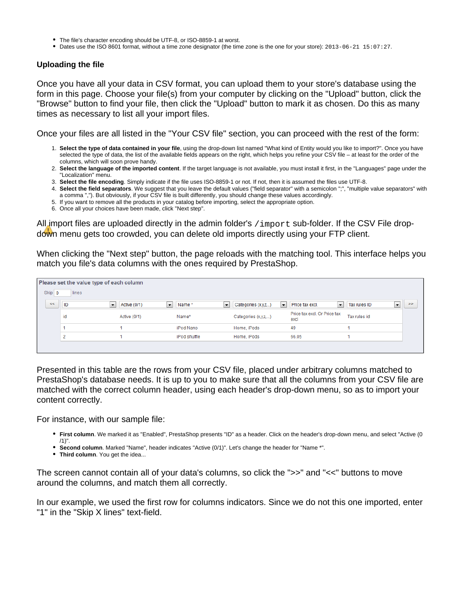- The file's character encoding should be UTF-8, or ISO-8859-1 at worst.
- Dates use the ISO 8601 format, without a time zone designator (the time zone is the one for your store): 2013-06-21 15:07:27.

#### <span id="page-10-0"></span>**Uploading the file**

Once you have all your data in CSV format, you can upload them to your store's database using the form in this page. Choose your file(s) from your computer by clicking on the "Upload" button, click the "Browse" button to find your file, then click the "Upload" button to mark it as chosen. Do this as many times as necessary to list all your import files.

Once your files are all listed in the "Your CSV file" section, you can proceed with the rest of the form:

- 1. **Select the type of data contained in your file**, using the drop-down list named "What kind of Entity would you like to import?". Once you have selected the type of data, the list of the available fields appears on the right, which helps you refine your CSV file – at least for the order of the columns, which will soon prove handy.
- 2. **Select the language of the imported content**. If the target language is not available, you must install it first, in the "Languages" page under the "Localization" menu.
- 3. **Select the file encoding**. Simply indicate if the file uses ISO-8859-1 or not. If not, then it is assumed the files use UTF-8.
- 4. **Select the field separators**. We suggest that you leave the default values ("field separator" with a semicolon ";", "multiple value separators" with a comma ","). But obviously, if your CSV file is built differently, you should change these values accordingly.
- 5. If you want to remove all the products in your catalog before importing, select the appropriate option.
- 6. Once all your choices have been made, click "Next step".

All import files are uploaded directly in the admin folder's  $/$  import sub-folder. If the CSV File dropdown menu gets too crowded, you can delete old imports directly using your FTP client.

When clicking the "Next step" button, the page reloads with the matching tool. This interface helps you match you file's data columns with the ones required by PrestaShop.

| Please set the value type of each column |                           |                                          |                                   |                                |                                             |                                             |        |
|------------------------------------------|---------------------------|------------------------------------------|-----------------------------------|--------------------------------|---------------------------------------------|---------------------------------------------|--------|
| Skip 0                                   | lines                     |                                          |                                   |                                |                                             |                                             |        |
| $<<$                                     | ID<br>$\vert \cdot \vert$ | Active (0/1)<br>$\vert \mathbf{v} \vert$ | Name*<br>$\vert \mathbf{v} \vert$ | Categories (x,y,z)<br><b>E</b> | Price tax excl.<br>$\vert \mathbf{v} \vert$ | ___<br>Tax rules ID<br>$\blacktriangledown$ | $>\!>$ |
|                                          | id                        | Active (0/1)                             | Name*                             | Categories (x,y,z,)            | Price tax excl. Or Price tax<br>excl        | Tax rules id                                |        |
|                                          |                           |                                          | iPod Nano                         | Home, iPods                    | 49                                          |                                             |        |
|                                          | $\circ$                   |                                          | iPod shuffle                      | Home, iPods                    | 66.05                                       |                                             |        |
|                                          |                           |                                          |                                   |                                |                                             |                                             |        |

Presented in this table are the rows from your CSV file, placed under arbitrary columns matched to PrestaShop's database needs. It is up to you to make sure that all the columns from your CSV file are matched with the correct column header, using each header's drop-down menu, so as to import your content correctly.

For instance, with our sample file:

- **First column**. We marked it as "Enabled", PrestaShop presents "ID" as a header. Click on the header's drop-down menu, and select "Active (0
- /1)".
- **Second column**. Marked "Name", header indicates "Active (0/1)". Let's change the header for "Name \*".
- **Third column**. You get the idea...

The screen cannot contain all of your data's columns, so click the ">>" and "<<" buttons to move around the columns, and match them all correctly.

In our example, we used the first row for columns indicators. Since we do not this one imported, enter "1" in the "Skip X lines" text-field.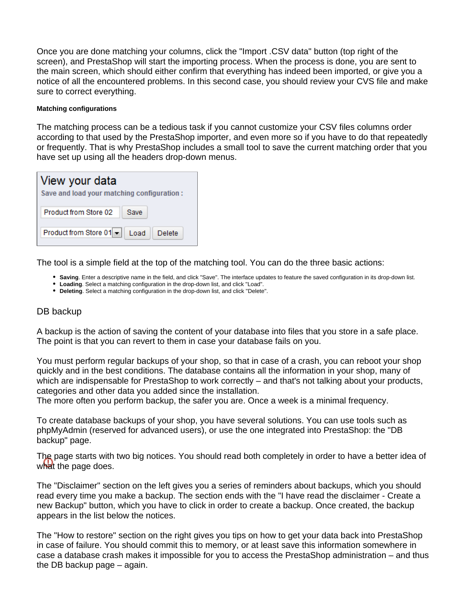Once you are done matching your columns, click the "Import .CSV data" button (top right of the screen), and PrestaShop will start the importing process. When the process is done, you are sent to the main screen, which should either confirm that everything has indeed been imported, or give you a notice of all the encountered problems. In this second case, you should review your CVS file and make sure to correct everything.

#### **Matching configurations**

The matching process can be a tedious task if you cannot customize your CSV files columns order according to that used by the PrestaShop importer, and even more so if you have to do that repeatedly or frequently. That is why PrestaShop includes a small tool to save the current matching order that you have set up using all the headers drop-down menus.

| View your data<br>Save and load your matching configuration: |      |  |  |  |
|--------------------------------------------------------------|------|--|--|--|
| Product from Store 02                                        | Save |  |  |  |
| Product from Store 01 - Load   Delete                        |      |  |  |  |

The tool is a simple field at the top of the matching tool. You can do the three basic actions:

- **Saving**. Enter a descriptive name in the field, and click "Save". The interface updates to feature the saved configuration in its drop-down list.
- **Loading**. Select a matching configuration in the drop-down list, and click "Load".
- **Deleting**. Select a matching configuration in the drop-down list, and click "Delete".

# <span id="page-11-0"></span>DB backup

A backup is the action of saving the content of your database into files that you store in a safe place. The point is that you can revert to them in case your database fails on you.

You must perform regular backups of your shop, so that in case of a crash, you can reboot your shop quickly and in the best conditions. The database contains all the information in your shop, many of which are indispensable for PrestaShop to work correctly – and that's not talking about your products, categories and other data you added since the installation.

The more often you perform backup, the safer you are. Once a week is a minimal frequency.

To create database backups of your shop, you have several solutions. You can use tools such as phpMyAdmin (reserved for advanced users), or use the one integrated into PrestaShop: the "DB backup" page.

The page starts with two big notices. You should read both completely in order to have a better idea of what the page does.

The "Disclaimer" section on the left gives you a series of reminders about backups, which you should read every time you make a backup. The section ends with the "I have read the disclaimer - Create a new Backup" button, which you have to click in order to create a backup. Once created, the backup appears in the list below the notices.

The "How to restore" section on the right gives you tips on how to get your data back into PrestaShop in case of failure. You should commit this to memory, or at least save this information somewhere in case a database crash makes it impossible for you to access the PrestaShop administration – and thus the DB backup page – again.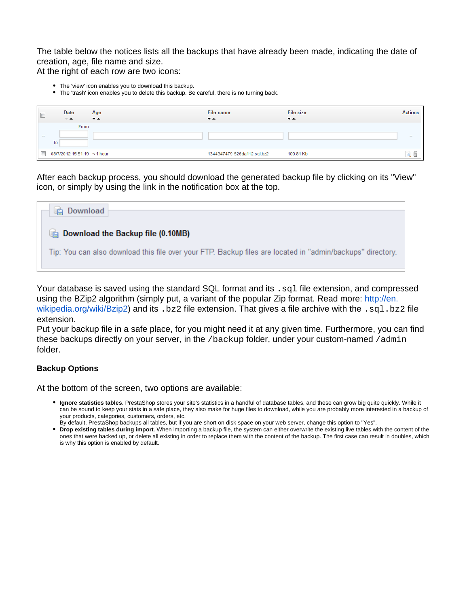The table below the notices lists all the backups that have already been made, indicating the date of creation, age, file name and size.

At the right of each row are two icons:

- The 'view' icon enables you to download this backup.
- The 'trash' icon enables you to delete this backup. Be careful, there is no turning back.

|        | <b>Date</b><br>▼▲           | Age<br>$\overline{\phantom{a}}$ | File name<br>$\overline{\phantom{a}}$ | <b>File size</b><br>$\overline{\phantom{a}}$ | <b>Actions</b> |
|--------|-----------------------------|---------------------------------|---------------------------------------|----------------------------------------------|----------------|
| $\sim$ | From<br>T <sub>o</sub>      |                                 |                                       |                                              | $-$            |
|        | 08/7/2012 15:51:19 < 1 hour |                                 | 1344347479-526da112.sql.bz2           | 100.81 Kb                                    |                |

After each backup process, you should download the generated backup file by clicking on its "View" icon, or simply by using the link in the notification box at the top.



Your database is saved using the standard SQL format and its  $\log 1$  file extension, and compressed using the BZip2 algorithm (simply put, a variant of the popular Zip format. Read more: [http://en.](http://en.wikipedia.org/wiki/Bzip2) [wikipedia.org/wiki/Bzip2\)](http://en.wikipedia.org/wiki/Bzip2) and its .bz2 file extension. That gives a file archive with the .sql.bz2 file extension.

Put your backup file in a safe place, for you might need it at any given time. Furthermore, you can find these backups directly on your server, in the  $/$ backup folder, under your custom-named  $/$ admin folder.

### <span id="page-12-0"></span>**Backup Options**

At the bottom of the screen, two options are available:

- **Ignore statistics tables**. PrestaShop stores your site's statistics in a handful of database tables, and these can grow big quite quickly. While it can be sound to keep your stats in a safe place, they also make for huge files to download, while you are probably more interested in a backup of your products, categories, customers, orders, etc. By default, PrestaShop backups all tables, but if you are short on disk space on your web server, change this option to "Yes".
- **Drop existing tables during import**. When importing a backup file, the system can either overwrite the existing live tables with the content of the ones that were backed up, or delete all existing in order to replace them with the content of the backup. The first case can result in doubles, which is why this option is enabled by default.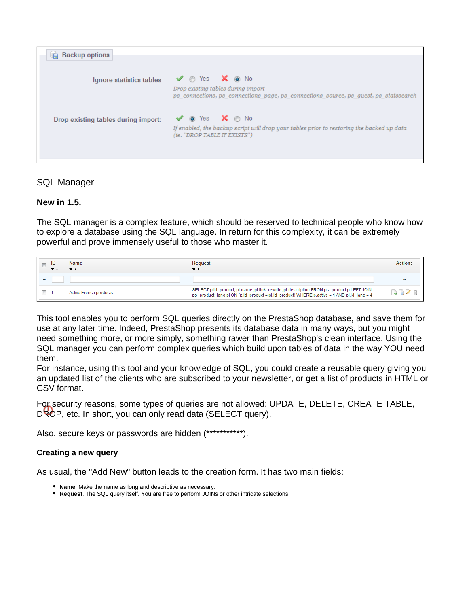| <b>Backup options</b>               |                                                                                                                                                                                                 |
|-------------------------------------|-------------------------------------------------------------------------------------------------------------------------------------------------------------------------------------------------|
|                                     |                                                                                                                                                                                                 |
| Ignore statistics tables            | $\blacktriangledown$ $\circ$ Yes $\blacktriangleright$ $\circ$ No<br>Drop existing tables during import<br>ps connections, ps connections page, ps connections source, ps quest, ps statssearch |
| Drop existing tables during import: | $\vee$ o Yes $\mathsf{X}$ $\circ$ No<br>If enabled, the backup script will drop your tables prior to restoring the backed up data<br>(ie. "DROP TABLE IF EXISTS")                               |
|                                     |                                                                                                                                                                                                 |

# <span id="page-13-0"></span>SQL Manager

### **New in 1.5.**

The SQL manager is a complex feature, which should be reserved to technical people who know how to explore a database using the SQL language. In return for this complexity, it can be extremely powerful and prove immensely useful to those who master it.

|                          | <b>Name</b>            | Request<br>▼▲                                                                                                                                                                           | Action |
|--------------------------|------------------------|-----------------------------------------------------------------------------------------------------------------------------------------------------------------------------------------|--------|
| $\overline{\phantom{a}}$ |                        |                                                                                                                                                                                         |        |
|                          | Active French products | SELECT p.id_product, pl.name, pl.link_rewrite, pl.description FROM ps_product p LEFT JOIN<br>ps_product_lang pl ON (p.id_product = pl.id_product) WHERE p.active = 1 AND pl.id_lang = 4 |        |

This tool enables you to perform SQL queries directly on the PrestaShop database, and save them for use at any later time. Indeed, PrestaShop presents its database data in many ways, but you might need something more, or more simply, something rawer than PrestaShop's clean interface. Using the SQL manager you can perform complex queries which build upon tables of data in the way YOU need them.

For instance, using this tool and your knowledge of SQL, you could create a reusable query giving you an updated list of the clients who are subscribed to your newsletter, or get a list of products in HTML or CSV format.

For security reasons, some types of queries are not allowed: UPDATE, DELETE, CREATE TABLE, DROP, etc. In short, you can only read data (SELECT query).

Also, secure keys or passwords are hidden (\*\*\*\*\*\*\*\*\*\*\*).

### <span id="page-13-1"></span>**Creating a new query**

As usual, the "Add New" button leads to the creation form. It has two main fields:

- **Name**. Make the name as long and descriptive as necessary.
- **Request**. The SQL query itself. You are free to perform JOINs or other intricate selections.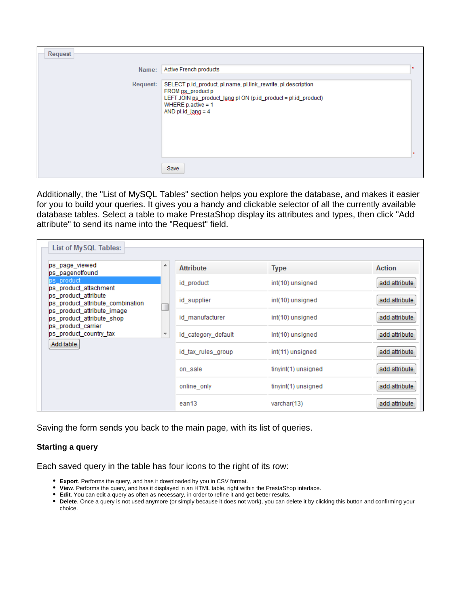| Request  |                                                                                                                                                                                                            |  |
|----------|------------------------------------------------------------------------------------------------------------------------------------------------------------------------------------------------------------|--|
| Name:    | Active French products                                                                                                                                                                                     |  |
| Request: | SELECT p.id_product, pl.name, pl.link_rewrite, pl.description<br>FROM ps_product p<br>LEFT JOIN ps_product_lang pl ON (p.id_product = pl.id_product)<br>WHERE $p$ active = 1<br>AND $p$ l.id_ $\lg ng = 4$ |  |
|          | Save                                                                                                                                                                                                       |  |

Additionally, the "List of MySQL Tables" section helps you explore the database, and makes it easier for you to build your queries. It gives you a handy and clickable selector of all the currently available database tables. Select a table to make PrestaShop display its attributes and types, then click "Add attribute" to send its name into the "Request" field.

| ps_page_viewed<br>ps pagenotfound                        | ▴ | <b>Attribute</b>    | <b>Type</b>         | Action        |
|----------------------------------------------------------|---|---------------------|---------------------|---------------|
| ps product<br>ps product attachment                      |   | id product          | int(10) unsigned    | add attribute |
| ps product attribute<br>ps product attribute combination |   | id_supplier         | int(10) unsigned    | add attribute |
| ps_product_attribute_image<br>ps_product_attribute_shop  |   | id manufacturer     | int(10) unsigned    | add attribute |
| ps product carrier<br>ps product country tax             |   | id_category_default | int(10) unsigned    | add attribute |
| Add table                                                |   | id tax rules group  | int(11) unsigned    | add attribute |
|                                                          |   | on sale             | tinyint(1) unsigned | add attribute |
|                                                          |   | online only         | tinyint(1) unsigned | add attribute |
|                                                          |   | ean <sub>13</sub>   | varchar(13)         | add attribute |

Saving the form sends you back to the main page, with its list of queries.

### <span id="page-14-0"></span>**Starting a query**

Each saved query in the table has four icons to the right of its row:

- **Export**. Performs the query, and has it downloaded by you in CSV format.
- **View**. Performs the query, and has it displayed in an HTML table, right within the PrestaShop interface.
- **Edit**. You can edit a query as often as necessary, in order to refine it and get better results.
- **Delete**. Once a query is not used anymore (or simply because it does not work), you can delete it by clicking this button and confirming your choice.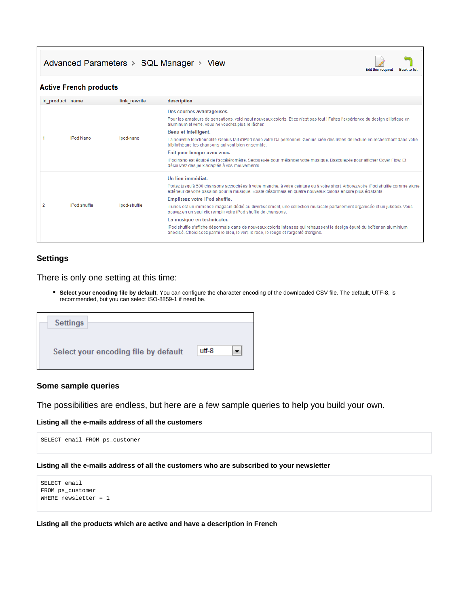Advanced Parameters > SQL Manager > View



#### **Active French products**

| id product name |                  | link rewrite | description                                                                                                                                                                                                                                        |
|-----------------|------------------|--------------|----------------------------------------------------------------------------------------------------------------------------------------------------------------------------------------------------------------------------------------------------|
|                 |                  |              | Des courbes avantageuses.                                                                                                                                                                                                                          |
|                 |                  |              | Pour les amateurs de sensations, voici neuf nouveaux coloris. Et ce n'est pas tout ! Faites l'expérience du design elliptique en<br>aluminum et verre. Vous ne voudrez plus le lâcher.                                                             |
|                 |                  |              | Beau et intelligent.                                                                                                                                                                                                                               |
|                 | <b>iPod Nano</b> | ipod-nano    | La nouvelle fonctionnalité Genius fait d'iPod nano votre DJ personnel. Genius crée des listes de lecture en recherchant dans votre<br>bibliothèque les chansons qui vont bien ensemble.                                                            |
|                 |                  |              | Fait pour bouger avec vous.                                                                                                                                                                                                                        |
|                 |                  |              | iPod nano est équipé de l'accéléromètre. Secouez-le pour mélanger votre musique. Basculez-le pour afficher Cover Flow. Et<br>découvrez des jeux adaptés à vos mouvements.                                                                          |
|                 |                  |              | Un lien immédiat.                                                                                                                                                                                                                                  |
|                 |                  |              | Portez jusqu'à 500 chansons accrochées à votre manche, à votre ceinture ou à votre short. Arborez votre iPod shuffle comme signe<br>extérieur de votre passion pour la musique. Existe désormais en quatre nouveaux coloris encore plus éclatants. |
|                 |                  |              | Emplissez votre iPod shuffle.                                                                                                                                                                                                                      |
|                 | iPod shuffle     | ipod-shuffle | iTunes est un immense magasin dédié au divertissement, une collection musicale parfaitement organisée et un jukebox. Vous<br>pouvez en un seul clic remplir votre iPod shuffle de chansons.                                                        |
|                 |                  |              | La musique en technicolor.                                                                                                                                                                                                                         |
|                 |                  |              | iPod shuffle s'affiche désormais dans de nouveaux coloris intenses qui rehaussent le design épuré du boîtier en aluminium<br>anodisé. Choisissez parmi le bleu, le vert, le rose, le rouge et l'argenté d'origine.                                 |
|                 |                  |              |                                                                                                                                                                                                                                                    |

#### <span id="page-15-0"></span>**Settings**

#### There is only one setting at this time:

**Select your encoding file by default**. You can configure the character encoding of the downloaded CSV file. The default, UTF-8, is recommended, but you can select ISO-8859-1 if need be.

| <b>Settings</b>                      |       |                          |
|--------------------------------------|-------|--------------------------|
| Select your encoding file by default | utf-8 | $\overline{\phantom{a}}$ |

#### <span id="page-15-1"></span>**Some sample queries**

The possibilities are endless, but here are a few sample queries to help you build your own.

#### **Listing all the e-mails address of all the customers**

SELECT email FROM ps\_customer

#### **Listing all the e-mails address of all the customers who are subscribed to your newsletter**

```
SELECT email
FROM ps_customer
WHERE newsletter = 1
```
#### **Listing all the products which are active and have a description in French**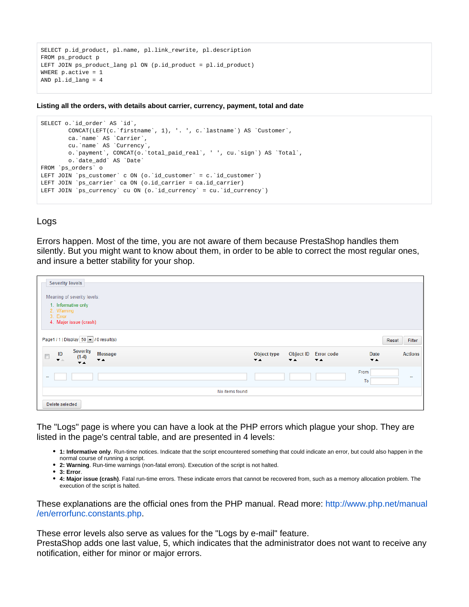```
SELECT p.id_product, pl.name, pl.link_rewrite, pl.description
FROM ps_product_p
LEFT JOIN ps_product_lang pl ON (p.id_product = pl.id_product)
WHERE p.active = 1
AND pl.id_lang = 4
```
**Listing all the orders, with details about carrier, currency, payment, total and date**

```
SELECT o.`id_order` AS `id`,
        CONCAT(LEFT(c.`firstname`, 1), '. ', c.`lastname`) AS `Customer`,
        ca.`name` AS `Carrier`,
        cu.`name` AS `Currency`,
        o.`payment`, CONCAT(o.`total_paid_real`, ' ', cu.`sign`) AS `Total`,
        o.`date_add` AS `Date`
FROM `ps_orders` o
LEFT JOIN `ps_customer` c ON (o.`id_customer` = c.`id_customer`)
LEFT JOIN `ps_carrier` ca ON (o.id_carrier = ca.id_carrier)
LEFT JOIN `ps_currency` cu ON (o.`id_currency` = cu.`id_currency`)
```
### <span id="page-16-0"></span>Logs

Errors happen. Most of the time, you are not aware of them because PrestaShop handles them silently. But you might want to know about them, in order to be able to correct the most regular ones, and insure a better stability for your shop.

| <b>Severity levels</b><br>Meaning of severity levels:                                                                                         |                                         |                          |                                                  |                                  |                 |
|-----------------------------------------------------------------------------------------------------------------------------------------------|-----------------------------------------|--------------------------|--------------------------------------------------|----------------------------------|-----------------|
| 1. Informative only<br>2. Warning<br>3. Error<br>4. Major issue (crash)                                                                       |                                         |                          |                                                  |                                  |                 |
| Page1 / 1   Display 50 - / 0 result(s)                                                                                                        |                                         |                          |                                                  |                                  | Filter<br>Reset |
| <b>Severity</b><br>Message<br>$\mathsf{ID}$<br>$\Box$<br>$(1-4)$<br>$\pmb{\nabla}$ in<br>$\overline{\phantom{a}}$<br>$\overline{\phantom{a}}$ | Object type<br>$\overline{\phantom{a}}$ | $\overline{\phantom{a}}$ | Object ID Error code<br>$\overline{\phantom{a}}$ | Date<br>$\overline{\phantom{a}}$ | <b>Actions</b>  |
| -                                                                                                                                             |                                         |                          |                                                  | From<br>To                       | $\sim$          |
| No items found                                                                                                                                |                                         |                          |                                                  |                                  |                 |
| Delete selected                                                                                                                               |                                         |                          |                                                  |                                  |                 |

The "Logs" page is where you can have a look at the PHP errors which plague your shop. They are listed in the page's central table, and are presented in 4 levels:

- **1: Informative only**. Run-time notices. Indicate that the script encountered something that could indicate an error, but could also happen in the normal course of running a script.
- **2: Warning**. Run-time warnings (non-fatal errors). Execution of the script is not halted.
- **3: Error**.
- **4: Major issue (crash)**. Fatal run-time errors. These indicate errors that cannot be recovered from, such as a memory allocation problem. The execution of the script is halted.

These explanations are the official ones from the PHP manual. Read more: [http://www.php.net/manual](http://www.php.net/manual/en/errorfunc.constants.php) [/en/errorfunc.constants.php.](http://www.php.net/manual/en/errorfunc.constants.php)

These error levels also serve as values for the "Logs by e-mail" feature.

PrestaShop adds one last value, 5, which indicates that the administrator does not want to receive any notification, either for minor or major errors.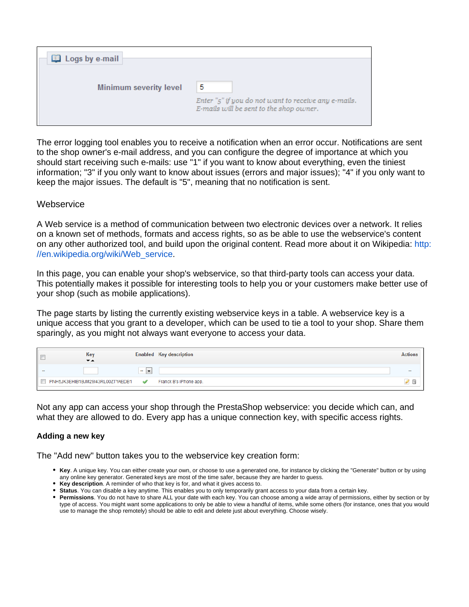| Logs by e-mail                |                                                                                                      |
|-------------------------------|------------------------------------------------------------------------------------------------------|
| <b>Minimum severity level</b> | 5<br>Enter "5" if you do not want to receive any e-mails.<br>E-mails will be sent to the shop owner. |
|                               |                                                                                                      |

The error logging tool enables you to receive a notification when an error occur. Notifications are sent to the shop owner's e-mail address, and you can configure the degree of importance at which you should start receiving such e-mails: use "1" if you want to know about everything, even the tiniest information; "3" if you only want to know about issues (errors and major issues); "4" if you only want to keep the major issues. The default is "5", meaning that no notification is sent.

### <span id="page-17-0"></span>**Webservice**

A Web service is a method of communication between two electronic devices over a network. It relies on a known set of methods, formats and access rights, so as be able to use the webservice's content on any other authorized tool, and build upon the original content. Read more about it on Wikipedia: [http:](http://en.wikipedia.org/wiki/Web_service) [//en.wikipedia.org/wiki/Web\\_service.](http://en.wikipedia.org/wiki/Web_service)

In this page, you can enable your shop's webservice, so that third-party tools can access your data. This potentially makes it possible for interesting tools to help you or your customers make better use of your shop (such as mobile applications).

The page starts by listing the currently existing webservice keys in a table. A webservice key is a unique access that you grant to a developer, which can be used to tie a tool to your shop. Share them sparingly, as you might not always want everyone to access your data.

|   | Key                              |               | <b>Enabled Key description</b> | Actions |
|---|----------------------------------|---------------|--------------------------------|---------|
|   | $\overline{\phantom{a}}$         |               |                                |         |
| - |                                  | $\sim$        |                                | $\sim$  |
|   | PNH5JK3EHIB1BJM29I43RL00ZTYAEDB1 | $\mathscr{A}$ | Franck B's iPhone app.         | ×.      |

Not any app can access your shop through the PrestaShop webservice: you decide which can, and what they are allowed to do. Every app has a unique connection key, with specific access rights.

### <span id="page-17-1"></span>**Adding a new key**

The "Add new" button takes you to the webservice key creation form:

- **Key**. A unique key. You can either create your own, or choose to use a generated one, for instance by clicking the "Generate" button or by using any online key generator. Generated keys are most of the time safer, because they are harder to guess.
- **Key description**. A reminder of who that key is for, and what it gives access to.
- **Status**. You can disable a key anytime. This enables you to only temporarily grant access to your data from a certain key.
- **Permissions**. You do not have to share ALL your date with each key. You can choose among a wide array of permissions, either by section or by type of access. You might want some applications to only be able to view a handful of items, while some others (for instance, ones that you would use to manage the shop remotely) should be able to edit and delete just about everything. Choose wisely.